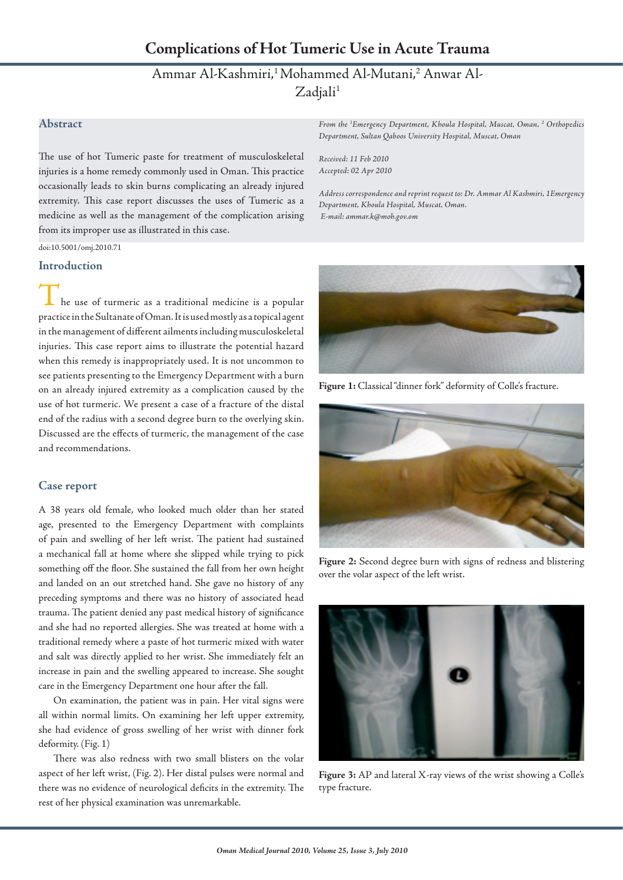# Ammar Al-Kashmiri,1 Mohammed Al-Mutani,2 Anwar Al- $Z$ adjali<sup>1</sup>

#### **Abstract**

The use of hot Tumeric paste for treatment of musculoskeletal injuries is a home remedy commonly used in Oman. This practice occasionally leads to skin burns complicating an already injured extremity. This case report discusses the uses of Tumeric as a medicine as well as the management of the complication arising from its improper use as illustrated in this case.

doi:10.5001/omj.2010.71

#### **Introduction**

he use of turmeric as a traditional medicine is a popular practice in the Sultanate of Oman. It is used mostly as a topical agent in the management of different ailments including musculoskeletal injuries. This case report aims to illustrate the potential hazard when this remedy is inappropriately used. It is not uncommon to see patients presenting to the Emergency Department with a burn on an already injured extremity as a complication caused by the use of hot turmeric. We present a case of a fracture of the distal end of the radius with a second degree burn to the overlying skin. Discussed are the effects of turmeric, the management of the case and recommendations.

#### **Case report**

A 38 years old female, who looked much older than her stated age, presented to the Emergency Department with complaints of pain and swelling of her left wrist. The patient had sustained a mechanical fall at home where she slipped while trying to pick something off the floor. She sustained the fall from her own height and landed on an out stretched hand. She gave no history of any preceding symptoms and there was no history of associated head trauma. The patient denied any past medical history of significance and she had no reported allergies. She was treated at home with a traditional remedy where a paste of hot turmeric mixed with water and salt was directly applied to her wrist. She immediately felt an increase in pain and the swelling appeared to increase. She sought care in the Emergency Department one hour after the fall.

On examination, the patient was in pain. Her vital signs were all within normal limits. On examining her left upper extremity, she had evidence of gross swelling of her wrist with dinner fork deformity. (Fig. 1)

There was also redness with two small blisters on the volar aspect of her left wrist, (Fig. 2). Her distal pulses were normal and there was no evidence of neurological deficits in the extremity. The rest of her physical examination was unremarkable.

*From the 1 Emergency Department, Khoula Hospital, Muscat, Oman, 2 Orthopedics Department, Sultan Qaboos University Hospital, Muscat, Oman*

*Received: 11 Feb 2010 Accepted: 02 Apr 2010*

*Address correspondence and reprint request to: Dr. Ammar Al Kashmiri, 1Emergency Department, Khoula Hospital, Muscat, Oman. E-mail: ammar.k@moh.gov.om*



**Figure 1:** Classical "dinner fork" deformity of Colle's fracture.



**Figure 2:** Second degree burn with signs of redness and blistering over the volar aspect of the left wrist.



**Figure 3:** AP and lateral X-ray views of the wrist showing a Colle's type fracture.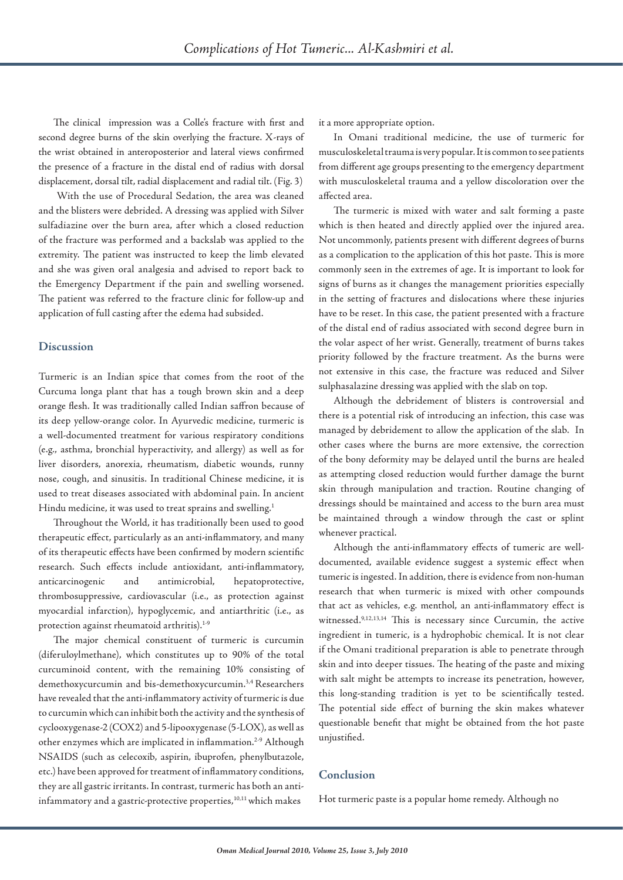The clinical impression was a Colle's fracture with first and second degree burns of the skin overlying the fracture. X-rays of the wrist obtained in anteroposterior and lateral views confirmed the presence of a fracture in the distal end of radius with dorsal displacement, dorsal tilt, radial displacement and radial tilt. (Fig. 3)

With the use of Procedural Sedation, the area was cleaned and the blisters were debrided. A dressing was applied with Silver sulfadiazine over the burn area, after which a closed reduction of the fracture was performed and a backslab was applied to the extremity. The patient was instructed to keep the limb elevated and she was given oral analgesia and advised to report back to the Emergency Department if the pain and swelling worsened. The patient was referred to the fracture clinic for follow-up and application of full casting after the edema had subsided.

#### **Discussion**

Turmeric is an Indian spice that comes from the root of the Curcuma longa plant that has a tough brown skin and a deep orange flesh. It was traditionally called Indian saffron because of its deep yellow-orange color. In Ayurvedic medicine, turmeric is a well-documented treatment for various respiratory conditions (e.g., asthma, bronchial hyperactivity, and allergy) as well as for liver disorders, anorexia, rheumatism, diabetic wounds, runny nose, cough, and sinusitis. In traditional Chinese medicine, it is used to treat diseases associated with abdominal pain. In ancient Hindu medicine, it was used to treat sprains and swelling.<sup>1</sup>

Throughout the World, it has traditionally been used to good therapeutic effect, particularly as an anti-inflammatory, and many of its therapeutic effects have been confirmed by modern scientific research. Such effects include antioxidant, anti-inflammatory, anticarcinogenic and antimicrobial, hepatoprotective, thrombosuppressive, cardiovascular (i.e., as protection against myocardial infarction), hypoglycemic, and antiarthritic (i.e., as protection against rheumatoid arthritis).<sup>1-9</sup>

The major chemical constituent of turmeric is curcumin (diferuloylmethane), which constitutes up to 90% of the total curcuminoid content, with the remaining 10% consisting of demethoxycurcumin and bis-demethoxycurcumin.3,4 Researchers have revealed that the anti-inflammatory activity of turmeric is due to curcumin which can inhibit both the activity and the synthesis of cyclooxygenase-2 (COX2) and 5-lipooxygenase (5-LOX), as well as other enzymes which are implicated in inflammation.<sup>2-9</sup> Although NSAIDS (such as celecoxib, aspirin, ibuprofen, phenylbutazole, etc.) have been approved for treatment of inflammatory conditions, they are all gastric irritants. In contrast, turmeric has both an antiinfammatory and a gastric-protective properties,<sup>10,11</sup> which makes

it a more appropriate option.

In Omani traditional medicine, the use of turmeric for musculoskeletal trauma is very popular. It is common to see patients from different age groups presenting to the emergency department with musculoskeletal trauma and a yellow discoloration over the affected area.

The turmeric is mixed with water and salt forming a paste which is then heated and directly applied over the injured area. Not uncommonly, patients present with different degrees of burns as a complication to the application of this hot paste. This is more commonly seen in the extremes of age. It is important to look for signs of burns as it changes the management priorities especially in the setting of fractures and dislocations where these injuries have to be reset. In this case, the patient presented with a fracture of the distal end of radius associated with second degree burn in the volar aspect of her wrist. Generally, treatment of burns takes priority followed by the fracture treatment. As the burns were not extensive in this case, the fracture was reduced and Silver sulphasalazine dressing was applied with the slab on top.

Although the debridement of blisters is controversial and there is a potential risk of introducing an infection, this case was managed by debridement to allow the application of the slab. In other cases where the burns are more extensive, the correction of the bony deformity may be delayed until the burns are healed as attempting closed reduction would further damage the burnt skin through manipulation and traction. Routine changing of dressings should be maintained and access to the burn area must be maintained through a window through the cast or splint whenever practical.

Although the anti-inflammatory effects of tumeric are welldocumented, available evidence suggest a systemic effect when tumeric is ingested. In addition, there is evidence from non-human research that when turmeric is mixed with other compounds that act as vehicles, e.g. menthol, an anti-inflammatory effect is witnessed.9,12,13,14 This is necessary since Curcumin, the active ingredient in tumeric, is a hydrophobic chemical. It is not clear if the Omani traditional preparation is able to penetrate through skin and into deeper tissues. The heating of the paste and mixing with salt might be attempts to increase its penetration, however, this long-standing tradition is yet to be scientifically tested. The potential side effect of burning the skin makes whatever questionable benefit that might be obtained from the hot paste unjustified.

## **Conclusion**

Hot turmeric paste is a popular home remedy. Although no